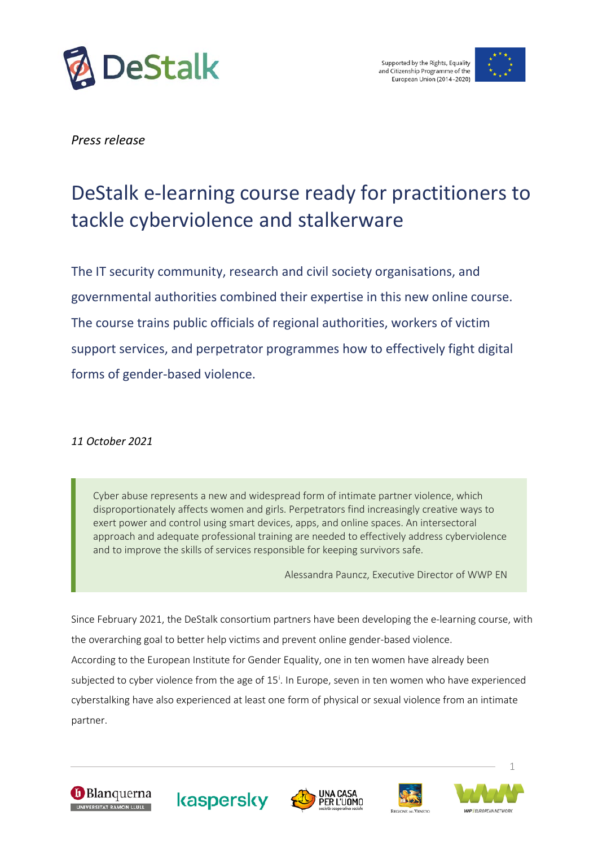



*Press release* 

## DeStalk e-learning course ready for practitioners to tackle cyberviolence and stalkerware

The IT security community, research and civil society organisations, and governmental authorities combined their expertise in this new online course. The course trains public officials of regional authorities, workers of victim support services, and perpetrator programmes how to effectively fight digital forms of gender-based violence.

## *11 October 2021*

Cyber abuse represents a new and widespread form of intimate partner violence, which disproportionately affects women and girls. Perpetrators find increasingly creative ways to exert power and control using smart devices, apps, and online spaces. An intersectoral approach and adequate professional training are needed to effectively address cyberviolence and to improve the skills of services responsible for keeping survivors safe.

Alessandra Pauncz, Executive Director of WWP EN

Since February 2021, the DeStalk consortium partners have been developing the e-learning course, with the overarching goal to better help victims and prevent online gender-based violence. According to the European Institute for Gender Equality, one in ten women have already been subjected to cyber v[i](#page-3-0)olence from the age of 15<sup>i</sup>. In Europe, seven in ten women who have experienced cyberstalking have also experienced at least one form of physical or sexual violence from an intimate partner.











1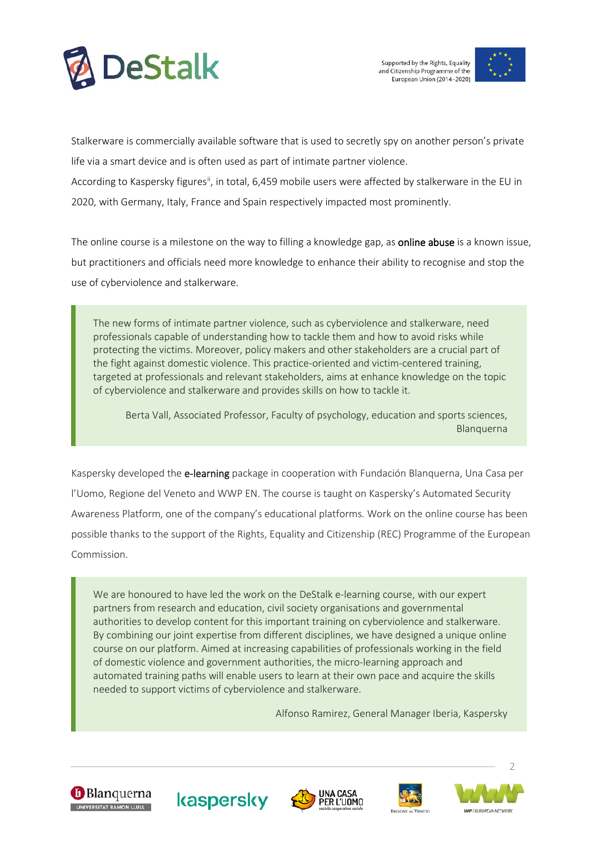



Stalkerware is commercially available software that is used to secretly spy on another person's private life via a smart device and is often used as part of intimate partner violence. According to Kaspersky figures<sup>ii</sup>, in total, 6,459 mobile users were affected by stalkerware in the EU in 2020, with Germany, Italy, France and Spain respectively impacted most prominently.

The online course is a milestone on the way to filling a knowledge gap, as **online abuse** is a known issue, but practitioners and officials need more knowledge to enhance their ability to recognise and stop the use of cyberviolence and stalkerware.

The new forms of intimate partner violence, such as cyberviolence and stalkerware, need professionals capable of understanding how to tackle them and how to avoid risks while protecting the victims. Moreover, policy makers and other stakeholders are a crucial part of the fight against domestic violence. This practice-oriented and victim-centered training, targeted at professionals and relevant stakeholders, aims at enhance knowledge on the topic of cyberviolence and stalkerware and provides skills on how to tackle it.

Berta Vall, Associated Professor, Faculty of psychology, education and sports sciences, Blanquerna

Kaspersky developed the e-learning package in cooperation with Fundación Blanquerna, Una Casa per l'Uomo, Regione del Veneto and WWP EN. The course is taught on Kaspersky's Automated Security Awareness Platform, one of the company's educational platforms. Work on the online course has been possible thanks to the support of the Rights, Equality and Citizenship (REC) Programme of the European Commission.

We are honoured to have led the work on the DeStalk e-learning course, with our expert partners from research and education, civil society organisations and governmental authorities to develop content for this important training on cyberviolence and stalkerware. By combining our joint expertise from different disciplines, we have designed a unique online course on our platform. Aimed at increasing capabilities of professionals working in the field of domestic violence and government authorities, the micro-learning approach and automated training paths will enable users to learn at their own pace and acquire the skills needed to support victims of cyberviolence and stalkerware.

Alfonso Ramirez, General Manager Iberia, Kaspersky











 $\mathcal{D}$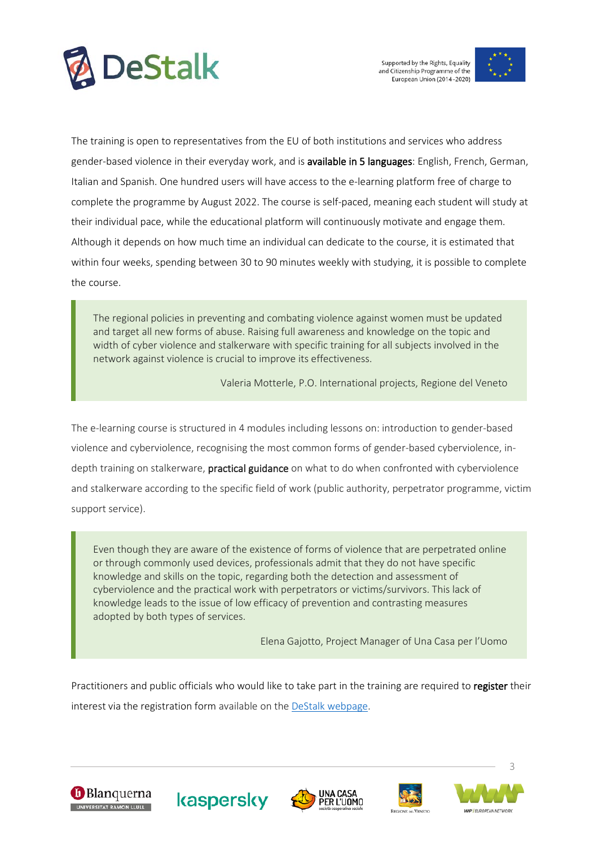



The training is open to representatives from the EU of both institutions and services who address gender-based violence in their everyday work, and is available in 5 languages: English, French, German, Italian and Spanish. One hundred users will have access to the e-learning platform free of charge to complete the programme by August 2022. The course is self-paced, meaning each student will study at their individual pace, while the educational platform will continuously motivate and engage them. Although it depends on how much time an individual can dedicate to the course, it is estimated that within four weeks, spending between 30 to 90 minutes weekly with studying, it is possible to complete the course.

The regional policies in preventing and combating violence against women must be updated and target all new forms of abuse. Raising full awareness and knowledge on the topic and width of cyber violence and stalkerware with specific training for all subjects involved in the network against violence is crucial to improve its effectiveness.

Valeria Motterle, P.O. International projects, Regione del Veneto

The e-learning course is structured in 4 modules including lessons on: introduction to gender-based violence and cyberviolence, recognising the most common forms of gender-based cyberviolence, indepth training on stalkerware, practical guidance on what to do when confronted with cyberviolence and stalkerware according to the specific field of work (public authority, perpetrator programme, victim support service).

Even though they are aware of the existence of forms of violence that are perpetrated online or through commonly used devices, professionals admit that they do not have specific knowledge and skills on the topic, regarding both the detection and assessment of cyberviolence and the practical work with perpetrators or victims/survivors. This lack of knowledge leads to the issue of low efficacy of prevention and contrasting measures adopted by both types of services.

Elena Gajotto, Project Manager of Una Casa per l'Uomo

Practitioners and public officials who would like to take part in the training are required to register their interest via the registration form available on the [DeStalk webpage.](https://www.work-with-perpetrators.eu/destalk)











3